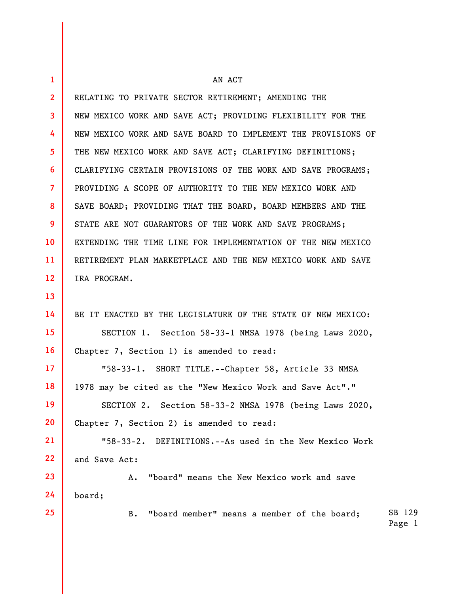| $\mathbf{1}$    | AN ACT                                                        |                  |
|-----------------|---------------------------------------------------------------|------------------|
| $\overline{2}$  | RELATING TO PRIVATE SECTOR RETIREMENT; AMENDING THE           |                  |
| 3               | NEW MEXICO WORK AND SAVE ACT; PROVIDING FLEXIBILITY FOR THE   |                  |
| 4               | NEW MEXICO WORK AND SAVE BOARD TO IMPLEMENT THE PROVISIONS OF |                  |
| 5               | THE NEW MEXICO WORK AND SAVE ACT; CLARIFYING DEFINITIONS;     |                  |
| 6               | CLARIFYING CERTAIN PROVISIONS OF THE WORK AND SAVE PROGRAMS;  |                  |
| $\overline{7}$  | PROVIDING A SCOPE OF AUTHORITY TO THE NEW MEXICO WORK AND     |                  |
| 8               | SAVE BOARD; PROVIDING THAT THE BOARD, BOARD MEMBERS AND THE   |                  |
| 9               | STATE ARE NOT GUARANTORS OF THE WORK AND SAVE PROGRAMS;       |                  |
| 10              | EXTENDING THE TIME LINE FOR IMPLEMENTATION OF THE NEW MEXICO  |                  |
| 11              | RETIREMENT PLAN MARKETPLACE AND THE NEW MEXICO WORK AND SAVE  |                  |
| 12              | IRA PROGRAM.                                                  |                  |
| 13              |                                                               |                  |
| 14              | BE IT ENACTED BY THE LEGISLATURE OF THE STATE OF NEW MEXICO:  |                  |
| 15              | SECTION 1. Section 58-33-1 NMSA 1978 (being Laws 2020,        |                  |
| 16              | Chapter 7, Section 1) is amended to read:                     |                  |
| 17 <sup>2</sup> | "58-33-1. SHORT TITLE.--Chapter 58, Article 33 NMSA           |                  |
| 18              | 1978 may be cited as the "New Mexico Work and Save Act"."     |                  |
| 19              | SECTION 2. Section 58-33-2 NMSA 1978 (being Laws 2020,        |                  |
| 20              | Chapter 7, Section 2) is amended to read:                     |                  |
| 21              | "58-33-2. DEFINITIONS.--As used in the New Mexico Work        |                  |
| 22              | and Save Act:                                                 |                  |
| 23              | "board" means the New Mexico work and save<br>Α.              |                  |
| 24              | board;                                                        |                  |
| 25              | "board member" means a member of the board;<br>В.             | SB 129<br>Page 1 |
|                 |                                                               |                  |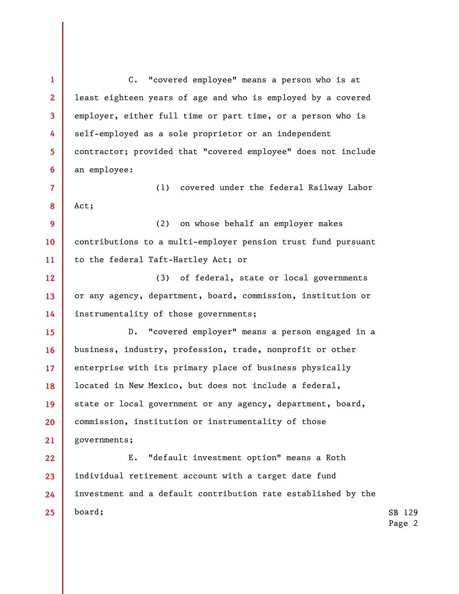1 2 3 4 5 6 7 8 9 10 11 12 13 14 15 16 17 18 19 20 21 22 23 24 25 C. "covered employee" means a person who is at least eighteen years of age and who is employed by a covered employer, either full time or part time, or a person who is self-employed as a sole proprietor or an independent contractor; provided that "covered employee" does not include an employee: (1) covered under the federal Railway Labor Act; (2) on whose behalf an employer makes contributions to a multi-employer pension trust fund pursuant to the federal Taft-Hartley Act; or (3) of federal, state or local governments or any agency, department, board, commission, institution or instrumentality of those governments; D. "covered employer" means a person engaged in a business, industry, profession, trade, nonprofit or other enterprise with its primary place of business physically located in New Mexico, but does not include a federal, state or local government or any agency, department, board, commission, institution or instrumentality of those governments; E. "default investment option" means a Roth individual retirement account with a target date fund investment and a default contribution rate established by the board;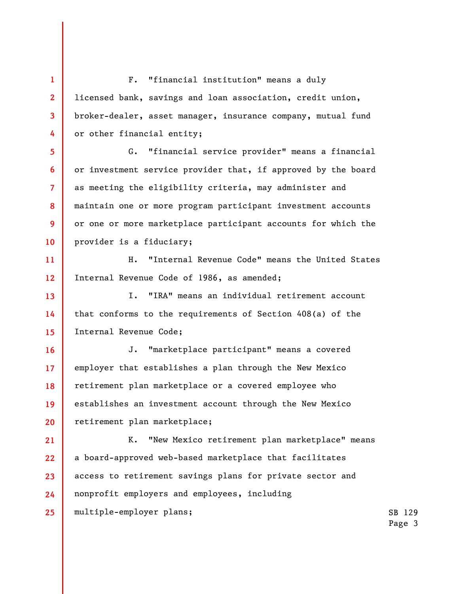1 2 3 4 5 6 7 8 9 10 11 12 13 14 15 16 17 18 19 20 21 22 23 24 25 F. "financial institution" means a duly licensed bank, savings and loan association, credit union, broker-dealer, asset manager, insurance company, mutual fund or other financial entity; G. "financial service provider" means a financial or investment service provider that, if approved by the board as meeting the eligibility criteria, may administer and maintain one or more program participant investment accounts or one or more marketplace participant accounts for which the provider is a fiduciary; H. "Internal Revenue Code" means the United States Internal Revenue Code of 1986, as amended; I. "IRA" means an individual retirement account that conforms to the requirements of Section 408(a) of the Internal Revenue Code; J. "marketplace participant" means a covered employer that establishes a plan through the New Mexico retirement plan marketplace or a covered employee who establishes an investment account through the New Mexico retirement plan marketplace; K. "New Mexico retirement plan marketplace" means a board-approved web-based marketplace that facilitates access to retirement savings plans for private sector and nonprofit employers and employees, including multiple-employer plans;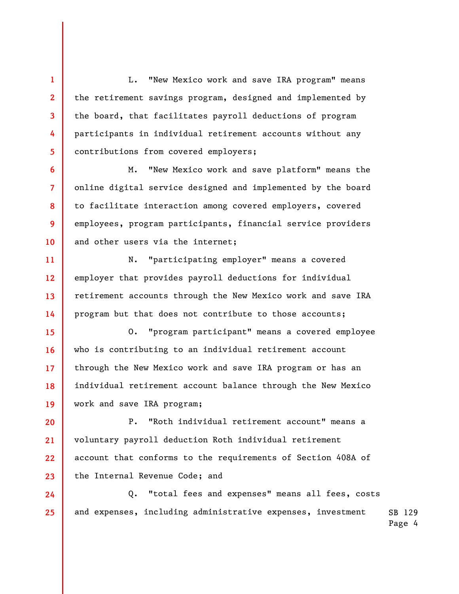L. "New Mexico work and save IRA program" means the retirement savings program, designed and implemented by the board, that facilitates payroll deductions of program participants in individual retirement accounts without any contributions from covered employers;

1

2

3

4

5

6

7

8

9

10

M. "New Mexico work and save platform" means the online digital service designed and implemented by the board to facilitate interaction among covered employers, covered employees, program participants, financial service providers and other users via the internet;

11 12 13 14 N. "participating employer" means a covered employer that provides payroll deductions for individual retirement accounts through the New Mexico work and save IRA program but that does not contribute to those accounts;

15 16 17 18 19 O. "program participant" means a covered employee who is contributing to an individual retirement account through the New Mexico work and save IRA program or has an individual retirement account balance through the New Mexico work and save IRA program;

20 21 22 23 P. "Roth individual retirement account" means a voluntary payroll deduction Roth individual retirement account that conforms to the requirements of Section 408A of the Internal Revenue Code; and

SB 129 24 25 Q. "total fees and expenses" means all fees, costs and expenses, including administrative expenses, investment

Page 4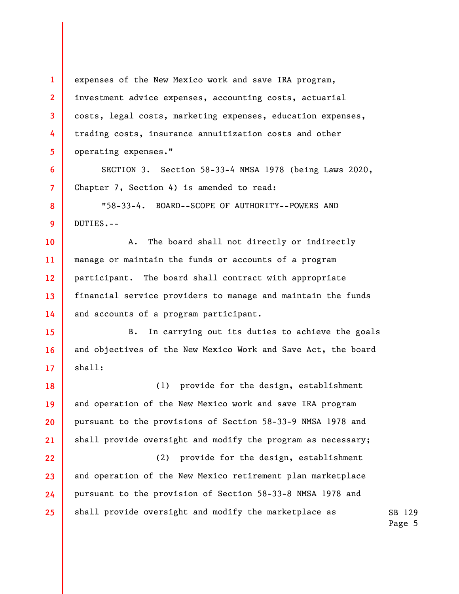1 2 3 4 5 6 7 8 9 10 11 12 13 14 15 16 17 18 19 20 21 22 23 24 25 expenses of the New Mexico work and save IRA program, investment advice expenses, accounting costs, actuarial costs, legal costs, marketing expenses, education expenses, trading costs, insurance annuitization costs and other operating expenses." SECTION 3. Section 58-33-4 NMSA 1978 (being Laws 2020, Chapter 7, Section 4) is amended to read: "58-33-4. BOARD--SCOPE OF AUTHORITY--POWERS AND DUTIES.-- A. The board shall not directly or indirectly manage or maintain the funds or accounts of a program participant. The board shall contract with appropriate financial service providers to manage and maintain the funds and accounts of a program participant. B. In carrying out its duties to achieve the goals and objectives of the New Mexico Work and Save Act, the board shall: (1) provide for the design, establishment and operation of the New Mexico work and save IRA program pursuant to the provisions of Section 58-33-9 NMSA 1978 and shall provide oversight and modify the program as necessary; (2) provide for the design, establishment and operation of the New Mexico retirement plan marketplace pursuant to the provision of Section 58-33-8 NMSA 1978 and shall provide oversight and modify the marketplace as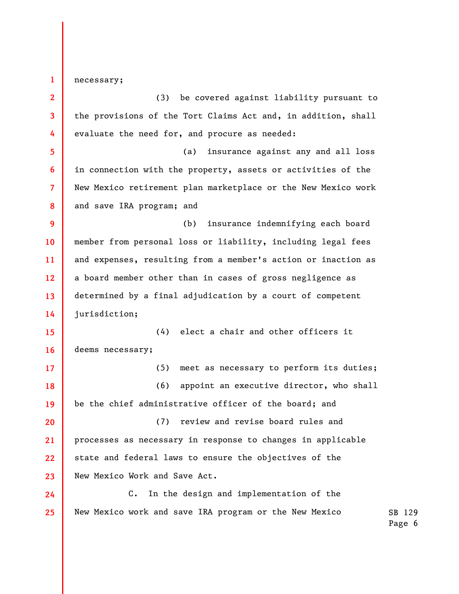1 necessary;

2 3 4 5 6 7 8 9 10 11 12 13 14 15 16 17 18 19 20 21 22 23 24 25 (3) be covered against liability pursuant to the provisions of the Tort Claims Act and, in addition, shall evaluate the need for, and procure as needed: (a) insurance against any and all loss in connection with the property, assets or activities of the New Mexico retirement plan marketplace or the New Mexico work and save IRA program; and (b) insurance indemnifying each board member from personal loss or liability, including legal fees and expenses, resulting from a member's action or inaction as a board member other than in cases of gross negligence as determined by a final adjudication by a court of competent jurisdiction; (4) elect a chair and other officers it deems necessary; (5) meet as necessary to perform its duties; (6) appoint an executive director, who shall be the chief administrative officer of the board; and (7) review and revise board rules and processes as necessary in response to changes in applicable state and federal laws to ensure the objectives of the New Mexico Work and Save Act. C. In the design and implementation of the New Mexico work and save IRA program or the New Mexico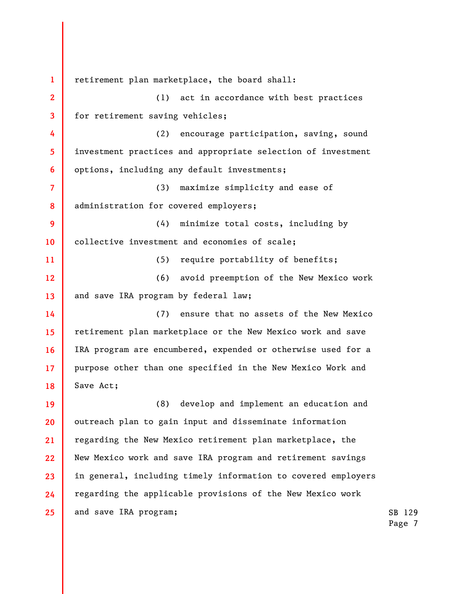1 2 3 4 5 6 7 8 9 10 11 12 13 14 15 16 17 18 19 20 21 22 23 24 25 retirement plan marketplace, the board shall: (1) act in accordance with best practices for retirement saving vehicles; (2) encourage participation, saving, sound investment practices and appropriate selection of investment options, including any default investments; (3) maximize simplicity and ease of administration for covered employers; (4) minimize total costs, including by collective investment and economies of scale; (5) require portability of benefits; (6) avoid preemption of the New Mexico work and save IRA program by federal law; (7) ensure that no assets of the New Mexico retirement plan marketplace or the New Mexico work and save IRA program are encumbered, expended or otherwise used for a purpose other than one specified in the New Mexico Work and Save Act; (8) develop and implement an education and outreach plan to gain input and disseminate information regarding the New Mexico retirement plan marketplace, the New Mexico work and save IRA program and retirement savings in general, including timely information to covered employers regarding the applicable provisions of the New Mexico work and save IRA program;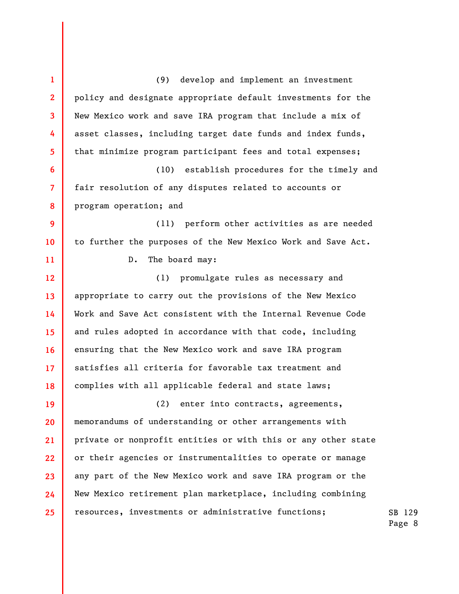SB 129 1 2 3 4 5 6 7 8 9 10 11 12 13 14 15 16 17 18 19 20 21 22 23 24 25 (9) develop and implement an investment policy and designate appropriate default investments for the New Mexico work and save IRA program that include a mix of asset classes, including target date funds and index funds, that minimize program participant fees and total expenses; (10) establish procedures for the timely and fair resolution of any disputes related to accounts or program operation; and (11) perform other activities as are needed to further the purposes of the New Mexico Work and Save Act. D. The board may: (1) promulgate rules as necessary and appropriate to carry out the provisions of the New Mexico Work and Save Act consistent with the Internal Revenue Code and rules adopted in accordance with that code, including ensuring that the New Mexico work and save IRA program satisfies all criteria for favorable tax treatment and complies with all applicable federal and state laws; (2) enter into contracts, agreements, memorandums of understanding or other arrangements with private or nonprofit entities or with this or any other state or their agencies or instrumentalities to operate or manage any part of the New Mexico work and save IRA program or the New Mexico retirement plan marketplace, including combining resources, investments or administrative functions;

Page 8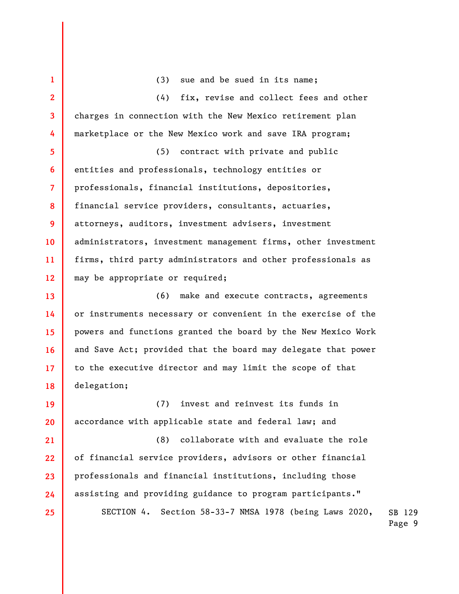1 2 3 4 5 6 7 8 9 10 11 12 13 14 15 16 17 18 19 20 21 22 23 24 25 (3) sue and be sued in its name; (4) fix, revise and collect fees and other charges in connection with the New Mexico retirement plan marketplace or the New Mexico work and save IRA program; (5) contract with private and public entities and professionals, technology entities or professionals, financial institutions, depositories, financial service providers, consultants, actuaries, attorneys, auditors, investment advisers, investment administrators, investment management firms, other investment firms, third party administrators and other professionals as may be appropriate or required; (6) make and execute contracts, agreements or instruments necessary or convenient in the exercise of the powers and functions granted the board by the New Mexico Work and Save Act; provided that the board may delegate that power to the executive director and may limit the scope of that delegation; (7) invest and reinvest its funds in accordance with applicable state and federal law; and (8) collaborate with and evaluate the role of financial service providers, advisors or other financial professionals and financial institutions, including those assisting and providing guidance to program participants." SECTION 4. Section 58-33-7 NMSA 1978 (being Laws 2020,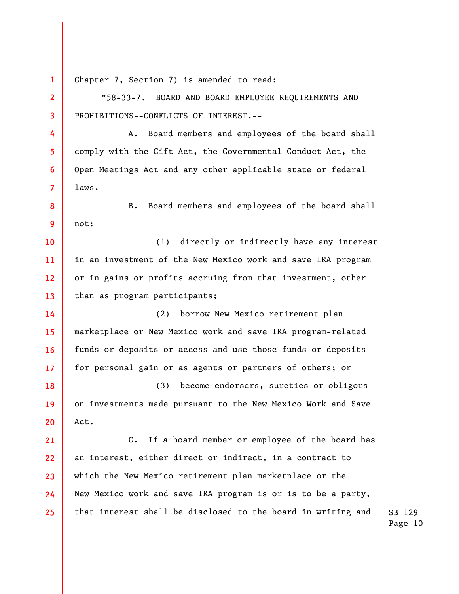1 2 3 4 5 6 7 8 9 10 11 12 13 14 15 16 17 18 19 20 21 22 23 24 25 Chapter 7, Section 7) is amended to read: "58-33-7. BOARD AND BOARD EMPLOYEE REQUIREMENTS AND PROHIBITIONS--CONFLICTS OF INTEREST.-- A. Board members and employees of the board shall comply with the Gift Act, the Governmental Conduct Act, the Open Meetings Act and any other applicable state or federal laws. B. Board members and employees of the board shall not: (1) directly or indirectly have any interest in an investment of the New Mexico work and save IRA program or in gains or profits accruing from that investment, other than as program participants; (2) borrow New Mexico retirement plan marketplace or New Mexico work and save IRA program-related funds or deposits or access and use those funds or deposits for personal gain or as agents or partners of others; or (3) become endorsers, sureties or obligors on investments made pursuant to the New Mexico Work and Save Act. C. If a board member or employee of the board has an interest, either direct or indirect, in a contract to which the New Mexico retirement plan marketplace or the New Mexico work and save IRA program is or is to be a party, that interest shall be disclosed to the board in writing and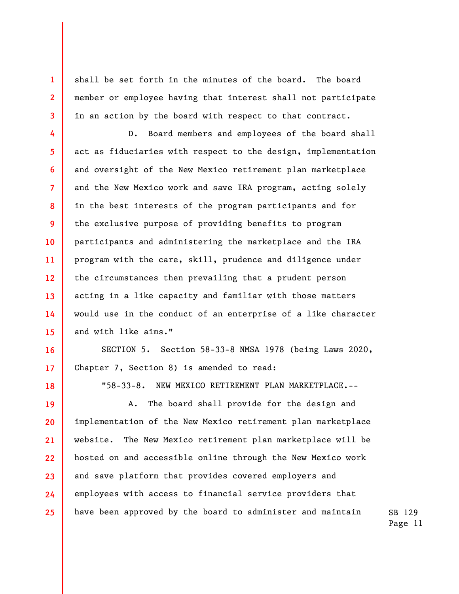shall be set forth in the minutes of the board. The board member or employee having that interest shall not participate in an action by the board with respect to that contract.

6 12 13 14 15 D. Board members and employees of the board shall act as fiduciaries with respect to the design, implementation and oversight of the New Mexico retirement plan marketplace and the New Mexico work and save IRA program, acting solely in the best interests of the program participants and for the exclusive purpose of providing benefits to program participants and administering the marketplace and the IRA program with the care, skill, prudence and diligence under the circumstances then prevailing that a prudent person acting in a like capacity and familiar with those matters would use in the conduct of an enterprise of a like character and with like aims."

SECTION 5. Section 58-33-8 NMSA 1978 (being Laws 2020, Chapter 7, Section 8) is amended to read:

18

16

17

1

2

3

4

5

7

8

9

10

11

"58-33-8. NEW MEXICO RETIREMENT PLAN MARKETPLACE.--

19 20 21 22 23 24 25 A. The board shall provide for the design and implementation of the New Mexico retirement plan marketplace website. The New Mexico retirement plan marketplace will be hosted on and accessible online through the New Mexico work and save platform that provides covered employers and employees with access to financial service providers that have been approved by the board to administer and maintain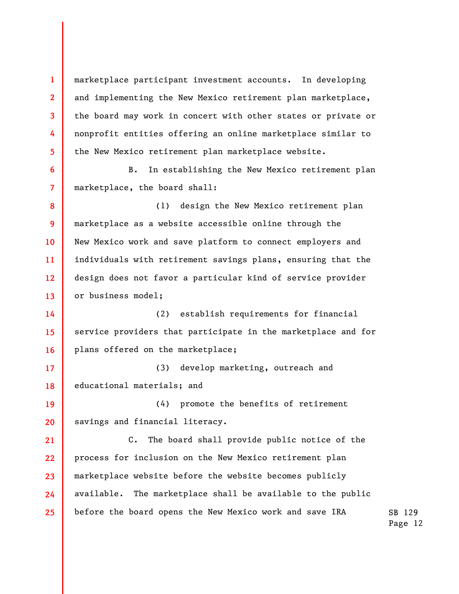marketplace participant investment accounts. In developing and implementing the New Mexico retirement plan marketplace, the board may work in concert with other states or private or nonprofit entities offering an online marketplace similar to the New Mexico retirement plan marketplace website.

1

2

3

4

5

6

7

B. In establishing the New Mexico retirement plan marketplace, the board shall:

8 9 10 11 12 13 (1) design the New Mexico retirement plan marketplace as a website accessible online through the New Mexico work and save platform to connect employers and individuals with retirement savings plans, ensuring that the design does not favor a particular kind of service provider or business model;

14 15 16 (2) establish requirements for financial service providers that participate in the marketplace and for plans offered on the marketplace;

17 18 (3) develop marketing, outreach and educational materials; and

19 20 (4) promote the benefits of retirement savings and financial literacy.

21 22 23 24 25 C. The board shall provide public notice of the process for inclusion on the New Mexico retirement plan marketplace website before the website becomes publicly available. The marketplace shall be available to the public before the board opens the New Mexico work and save IRA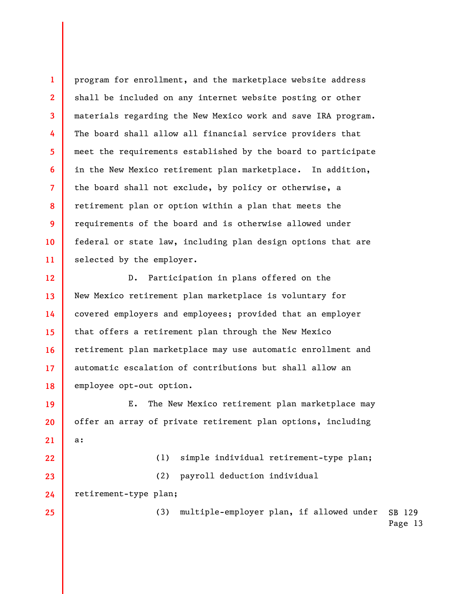program for enrollment, and the marketplace website address shall be included on any internet website posting or other materials regarding the New Mexico work and save IRA program. The board shall allow all financial service providers that meet the requirements established by the board to participate in the New Mexico retirement plan marketplace. In addition, the board shall not exclude, by policy or otherwise, a retirement plan or option within a plan that meets the requirements of the board and is otherwise allowed under federal or state law, including plan design options that are selected by the employer.

12 13 14 15 16 17 18 D. Participation in plans offered on the New Mexico retirement plan marketplace is voluntary for covered employers and employees; provided that an employer that offers a retirement plan through the New Mexico retirement plan marketplace may use automatic enrollment and automatic escalation of contributions but shall allow an employee opt-out option.

19 20 21 E. The New Mexico retirement plan marketplace may offer an array of private retirement plan options, including a:

(1) simple individual retirement-type plan;

(2) payroll deduction individual

24 retirement-type plan;

1

2

3

4

5

6

7

8

9

10

11

22

23

25

SB 129 (3) multiple-employer plan, if allowed under

Page 13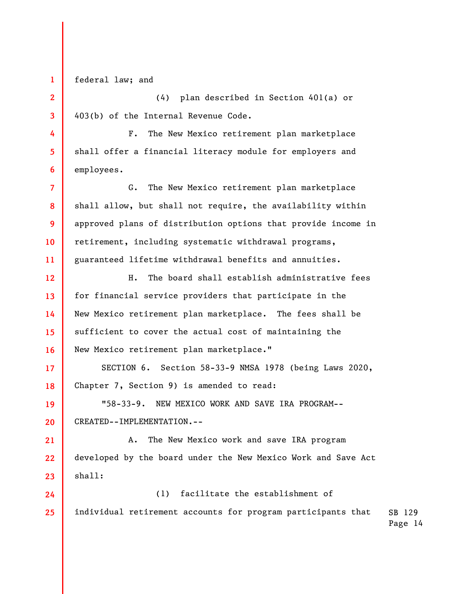federal law; and

1

2

3

4

5

6

7

9

10

(4) plan described in Section 401(a) or 403(b) of the Internal Revenue Code.

F. The New Mexico retirement plan marketplace shall offer a financial literacy module for employers and employees.

8 11 G. The New Mexico retirement plan marketplace shall allow, but shall not require, the availability within approved plans of distribution options that provide income in retirement, including systematic withdrawal programs, guaranteed lifetime withdrawal benefits and annuities.

12 13 14 15 16 H. The board shall establish administrative fees for financial service providers that participate in the New Mexico retirement plan marketplace. The fees shall be sufficient to cover the actual cost of maintaining the New Mexico retirement plan marketplace."

17 18 SECTION 6. Section 58-33-9 NMSA 1978 (being Laws 2020, Chapter 7, Section 9) is amended to read:

19 20 "58-33-9. NEW MEXICO WORK AND SAVE IRA PROGRAM-- CREATED--IMPLEMENTATION.--

21 22 23 A. The New Mexico work and save IRA program developed by the board under the New Mexico Work and Save Act shall:

SB 129 24 25 (1) facilitate the establishment of individual retirement accounts for program participants that

Page 14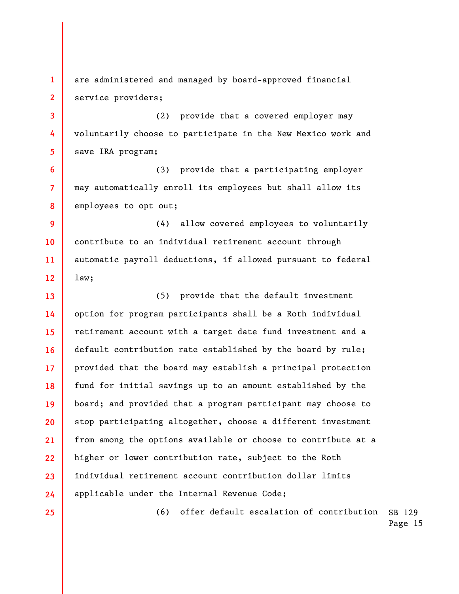1 2 are administered and managed by board-approved financial service providers;

(2) provide that a covered employer may voluntarily choose to participate in the New Mexico work and save IRA program;

(3) provide that a participating employer may automatically enroll its employees but shall allow its employees to opt out;

9 10 11 12 (4) allow covered employees to voluntarily contribute to an individual retirement account through automatic payroll deductions, if allowed pursuant to federal law;

13 14 15 16 17 18 19 20 21 22 23 24 (5) provide that the default investment option for program participants shall be a Roth individual retirement account with a target date fund investment and a default contribution rate established by the board by rule; provided that the board may establish a principal protection fund for initial savings up to an amount established by the board; and provided that a program participant may choose to stop participating altogether, choose a different investment from among the options available or choose to contribute at a higher or lower contribution rate, subject to the Roth individual retirement account contribution dollar limits applicable under the Internal Revenue Code;

25

3

4

5

6

7

8

SB 129 (6) offer default escalation of contribution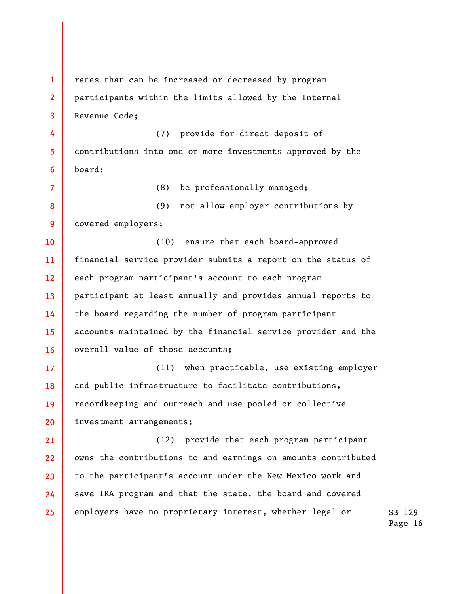1 2 3 4 5 6 7 8 9 10 11 12 13 14 15 16 17 18 19 20 21 22 23 24 25 rates that can be increased or decreased by program participants within the limits allowed by the Internal Revenue Code; (7) provide for direct deposit of contributions into one or more investments approved by the board; (8) be professionally managed; (9) not allow employer contributions by covered employers; (10) ensure that each board-approved financial service provider submits a report on the status of each program participant's account to each program participant at least annually and provides annual reports to the board regarding the number of program participant accounts maintained by the financial service provider and the overall value of those accounts; (11) when practicable, use existing employer and public infrastructure to facilitate contributions, recordkeeping and outreach and use pooled or collective investment arrangements; (12) provide that each program participant owns the contributions to and earnings on amounts contributed to the participant's account under the New Mexico work and save IRA program and that the state, the board and covered employers have no proprietary interest, whether legal or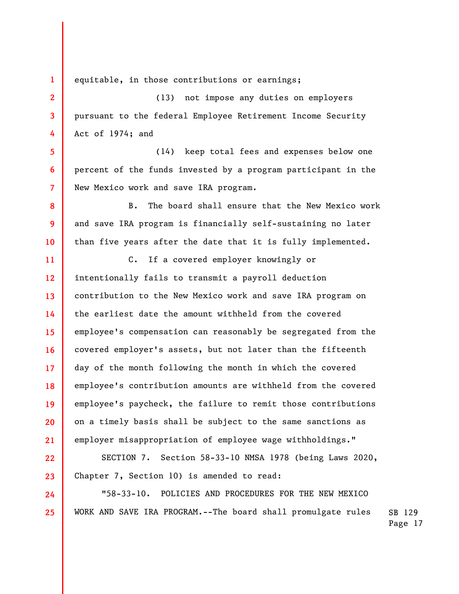equitable, in those contributions or earnings;

1

2

3

4

5

6

7

8

9

10

22

23

24

25

(13) not impose any duties on employers pursuant to the federal Employee Retirement Income Security Act of 1974; and

(14) keep total fees and expenses below one percent of the funds invested by a program participant in the New Mexico work and save IRA program.

B. The board shall ensure that the New Mexico work and save IRA program is financially self-sustaining no later than five years after the date that it is fully implemented.

11 12 13 14 15 16 17 18 19 20 21 C. If a covered employer knowingly or intentionally fails to transmit a payroll deduction contribution to the New Mexico work and save IRA program on the earliest date the amount withheld from the covered employee's compensation can reasonably be segregated from the covered employer's assets, but not later than the fifteenth day of the month following the month in which the covered employee's contribution amounts are withheld from the covered employee's paycheck, the failure to remit those contributions on a timely basis shall be subject to the same sanctions as employer misappropriation of employee wage withholdings."

SECTION 7. Section 58-33-10 NMSA 1978 (being Laws 2020, Chapter 7, Section 10) is amended to read:

"58-33-10. POLICIES AND PROCEDURES FOR THE NEW MEXICO WORK AND SAVE IRA PROGRAM.--The board shall promulgate rules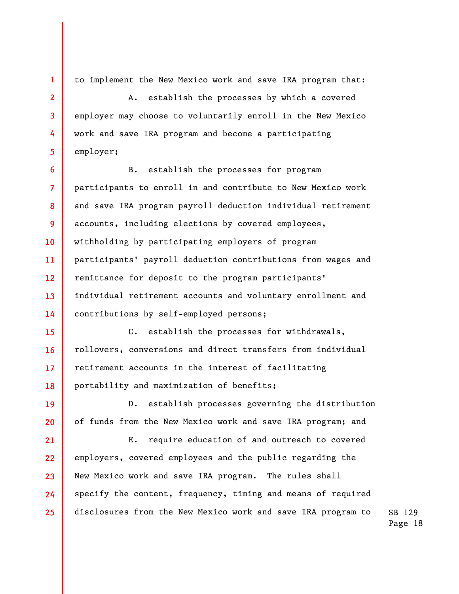to implement the New Mexico work and save IRA program that:

1

2

3

4

5

19

A. establish the processes by which a covered employer may choose to voluntarily enroll in the New Mexico work and save IRA program and become a participating employer;

6 7 8 9 10 11 12 13 14 B. establish the processes for program participants to enroll in and contribute to New Mexico work and save IRA program payroll deduction individual retirement accounts, including elections by covered employees, withholding by participating employers of program participants' payroll deduction contributions from wages and remittance for deposit to the program participants' individual retirement accounts and voluntary enrollment and contributions by self-employed persons;

15 16 17 18 C. establish the processes for withdrawals, rollovers, conversions and direct transfers from individual retirement accounts in the interest of facilitating portability and maximization of benefits;

20 D. establish processes governing the distribution of funds from the New Mexico work and save IRA program; and

21 22 23 24 25 E. require education of and outreach to covered employers, covered employees and the public regarding the New Mexico work and save IRA program. The rules shall specify the content, frequency, timing and means of required disclosures from the New Mexico work and save IRA program to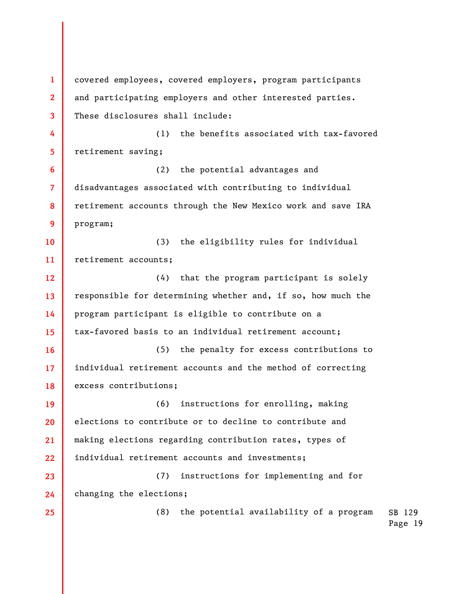SB 129 Page 19 1 2 3 4 5 6 7 8 9 10 11 12 13 14 15 16 17 18 19 20 21 22 23 24 25 covered employees, covered employers, program participants and participating employers and other interested parties. These disclosures shall include: (1) the benefits associated with tax-favored retirement saving; (2) the potential advantages and disadvantages associated with contributing to individual retirement accounts through the New Mexico work and save IRA program; (3) the eligibility rules for individual retirement accounts; (4) that the program participant is solely responsible for determining whether and, if so, how much the program participant is eligible to contribute on a tax-favored basis to an individual retirement account; (5) the penalty for excess contributions to individual retirement accounts and the method of correcting excess contributions; (6) instructions for enrolling, making elections to contribute or to decline to contribute and making elections regarding contribution rates, types of individual retirement accounts and investments; (7) instructions for implementing and for changing the elections; (8) the potential availability of a program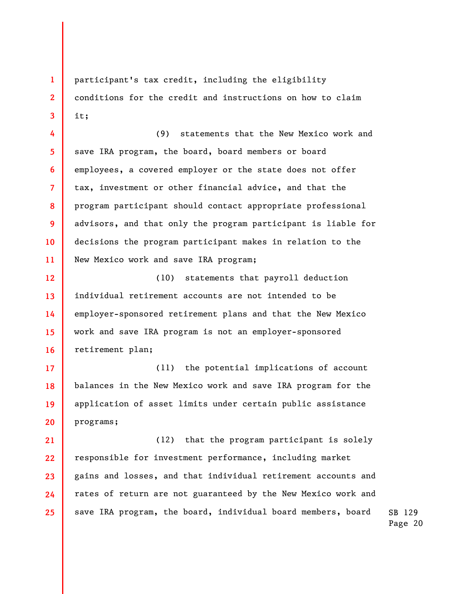participant's tax credit, including the eligibility conditions for the credit and instructions on how to claim it;

1

2

3

4

5

7

8

9

10

11

6 (9) statements that the New Mexico work and save IRA program, the board, board members or board employees, a covered employer or the state does not offer tax, investment or other financial advice, and that the program participant should contact appropriate professional advisors, and that only the program participant is liable for decisions the program participant makes in relation to the New Mexico work and save IRA program;

12 13 14 15 16 (10) statements that payroll deduction individual retirement accounts are not intended to be employer-sponsored retirement plans and that the New Mexico work and save IRA program is not an employer-sponsored retirement plan;

17 18 19 20 (11) the potential implications of account balances in the New Mexico work and save IRA program for the application of asset limits under certain public assistance programs;

21 22 23 24 25 (12) that the program participant is solely responsible for investment performance, including market gains and losses, and that individual retirement accounts and rates of return are not guaranteed by the New Mexico work and save IRA program, the board, individual board members, board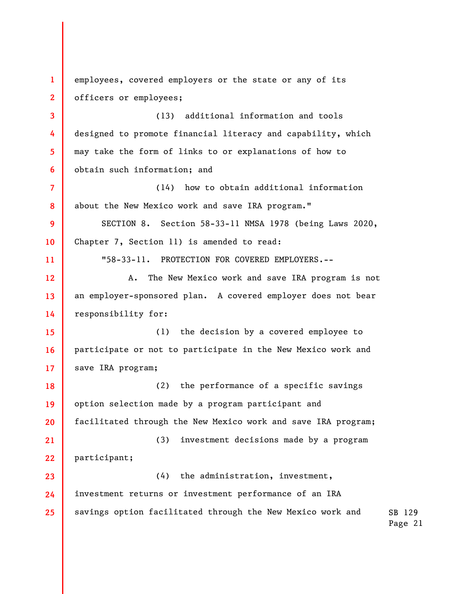SB 129 Page 21 1 2 3 4 5 6 7 8 9 10 11 12 13 14 15 16 17 18 19 20 21 22 23 24 25 employees, covered employers or the state or any of its officers or employees; (13) additional information and tools designed to promote financial literacy and capability, which may take the form of links to or explanations of how to obtain such information; and (14) how to obtain additional information about the New Mexico work and save IRA program." SECTION 8. Section 58-33-11 NMSA 1978 (being Laws 2020, Chapter 7, Section 11) is amended to read: "58-33-11. PROTECTION FOR COVERED EMPLOYERS.-- A. The New Mexico work and save IRA program is not an employer-sponsored plan. A covered employer does not bear responsibility for: (1) the decision by a covered employee to participate or not to participate in the New Mexico work and save IRA program; (2) the performance of a specific savings option selection made by a program participant and facilitated through the New Mexico work and save IRA program; (3) investment decisions made by a program participant; (4) the administration, investment, investment returns or investment performance of an IRA savings option facilitated through the New Mexico work and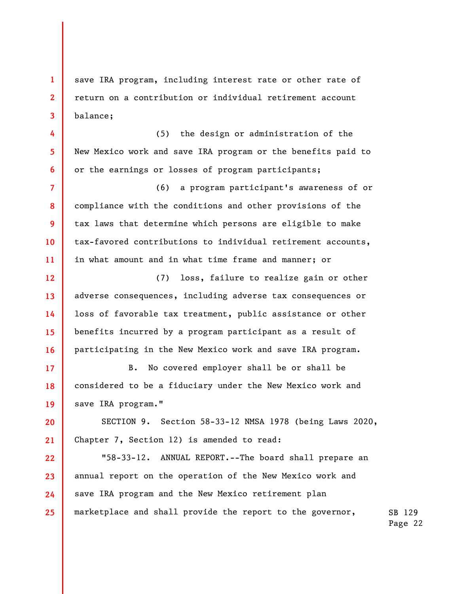save IRA program, including interest rate or other rate of return on a contribution or individual retirement account balance;

1

2

3

4

5

6

7

8

9

10

11

15

16

17

19

(5) the design or administration of the New Mexico work and save IRA program or the benefits paid to or the earnings or losses of program participants;

(6) a program participant's awareness of or compliance with the conditions and other provisions of the tax laws that determine which persons are eligible to make tax-favored contributions to individual retirement accounts, in what amount and in what time frame and manner; or

12 13 14 (7) loss, failure to realize gain or other adverse consequences, including adverse tax consequences or loss of favorable tax treatment, public assistance or other benefits incurred by a program participant as a result of participating in the New Mexico work and save IRA program.

18 B. No covered employer shall be or shall be considered to be a fiduciary under the New Mexico work and save IRA program."

20 21 SECTION 9. Section 58-33-12 NMSA 1978 (being Laws 2020, Chapter 7, Section 12) is amended to read:

22 23 24 25 "58-33-12. ANNUAL REPORT.--The board shall prepare an annual report on the operation of the New Mexico work and save IRA program and the New Mexico retirement plan marketplace and shall provide the report to the governor,